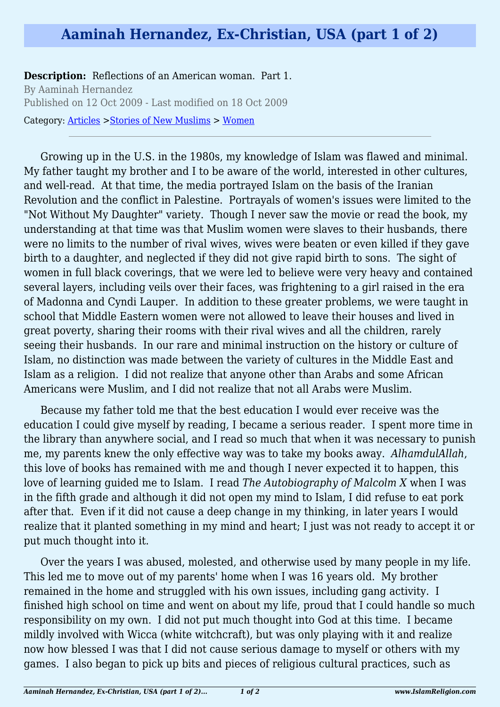## **Aaminah Hernandez, Ex-Christian, USA (part 1 of 2)**

**Description:** Reflections of an American woman. Part 1. By Aaminah Hernandez Published on 12 Oct 2009 - Last modified on 18 Oct 2009 Category: [Articles](http://www.islamreligion.com/articles/) >[Stories of New Muslims](http://www.islamreligion.com/category/63/) > [Women](http://www.islamreligion.com/category/65/)

Growing up in the U.S. in the 1980s, my knowledge of Islam was flawed and minimal. My father taught my brother and I to be aware of the world, interested in other cultures, and well-read. At that time, the media portrayed Islam on the basis of the Iranian Revolution and the conflict in Palestine. Portrayals of women's issues were limited to the "Not Without My Daughter" variety. Though I never saw the movie or read the book, my understanding at that time was that Muslim women were slaves to their husbands, there were no limits to the number of rival wives, wives were beaten or even killed if they gave birth to a daughter, and neglected if they did not give rapid birth to sons. The sight of women in full black coverings, that we were led to believe were very heavy and contained several layers, including veils over their faces, was frightening to a girl raised in the era of Madonna and Cyndi Lauper. In addition to these greater problems, we were taught in school that Middle Eastern women were not allowed to leave their houses and lived in great poverty, sharing their rooms with their rival wives and all the children, rarely seeing their husbands. In our rare and minimal instruction on the history or culture of Islam, no distinction was made between the variety of cultures in the Middle East and Islam as a religion. I did not realize that anyone other than Arabs and some African Americans were Muslim, and I did not realize that not all Arabs were Muslim.

Because my father told me that the best education I would ever receive was the education I could give myself by reading, I became a serious reader. I spent more time in the library than anywhere social, and I read so much that when it was necessary to punish me, my parents knew the only effective way was to take my books away. *AlhamdulAllah*, this love of books has remained with me and though I never expected it to happen, this love of learning guided me to Islam. I read *The Autobiography of Malcolm X* when I was in the fifth grade and although it did not open my mind to Islam, I did refuse to eat pork after that. Even if it did not cause a deep change in my thinking, in later years I would realize that it planted something in my mind and heart; I just was not ready to accept it or put much thought into it.

Over the years I was abused, molested, and otherwise used by many people in my life. This led me to move out of my parents' home when I was 16 years old. My brother remained in the home and struggled with his own issues, including gang activity. I finished high school on time and went on about my life, proud that I could handle so much responsibility on my own. I did not put much thought into God at this time. I became mildly involved with Wicca (white witchcraft), but was only playing with it and realize now how blessed I was that I did not cause serious damage to myself or others with my games. I also began to pick up bits and pieces of religious cultural practices, such as